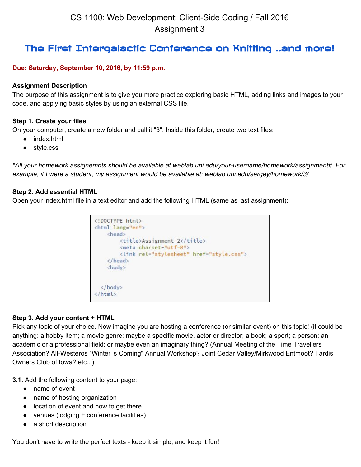# The First Intergalactic Conference on Knitting ..and more!

## **Due: Saturday, September 10, 2016, by 11:59 p.m.**

#### **Assignment Description**

The purpose of this assignment is to give you more practice exploring basic HTML, adding links and images to your code, and applying basic styles by using an external CSS file.

#### **Step 1. Create your files**

On your computer, create a new folder and call it "3". Inside this folder, create two text files:

- index.html
- style.css

*\*All your homework assignemnts should be available at weblab.uni.edu/yourusername/homework/assignment#. For example, if I were a student, my assignment would be available at: weblab.uni.edu/sergey/homework/3/*

#### **Step 2. Add essential HTML**

Open your index.html file in a text editor and add the following HTML (same as last assignment):

```
<! DOCTYPE html>
<html lang="en">
   <head>
       <title>Assignment 2</title>
       <meta charset="utf-8">
       <link rel="stylesheet" href="style.css">
    </head>
    <body>
  </body>
\langle/html>
```
#### **Step 3. Add your content + HTML**

Pick any topic of your choice. Now imagine you are hosting a conference (or similar event) on this topic! (it could be anything: a hobby item; a movie genre; maybe a specific movie, actor or director; a book; a sport; a person; an academic or a professional field; or maybe even an imaginary thing? (Annual Meeting of the Time Travellers Association? All-Westeros "Winter is Coming" Annual Workshop? Joint Cedar Valley/Mirkwood Entmoot? Tardis Owners Club of Iowa? etc...)

**3.1.** Add the following content to your page:

- name of event
- name of hosting organization
- location of event and how to get there
- venues (lodging + conference facilities)
- a short description

You don't have to write the perfect texts - keep it simple, and keep it fun!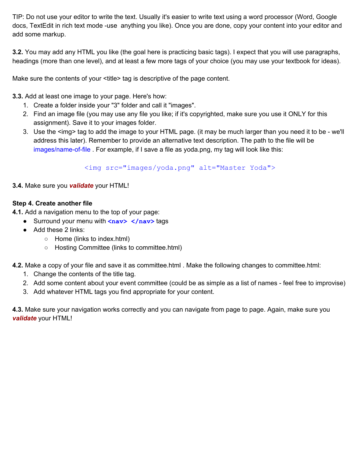TIP: Do not use your editor to write the text. Usually it's easier to write text using a word processor (Word, Google docs, TextEdit in rich text mode -use anything you like). Once you are done, copy your content into your editor and add some markup.

**3.2.** You may add any HTML you like (the goal here is practicing basic tags). I expect that you will use paragraphs, headings (more than one level), and at least a few more tags of your choice (you may use your textbook for ideas).

Make sure the contents of your <title> tag is descriptive of the page content.

**3.3.** Add at least one image to your page. Here's how:

- 1. Create a folder inside your "3" folder and call it "images".
- 2. Find an image file (you may use any file you like; if it's copyrighted, make sure you use it ONLY for this assignment). Save it to your images folder.
- 3. Use the <img> tag to add the image to your HTML page. (it may be much larger than you need it to be we'll address this later). Remember to provide an alternative text description. The path to the file will be images/name-of-file . For example, if I save a file as yoda.png, my tag will look like this:

<img src="images/yoda.png" alt="Master Yoda">

## **3.4.** Make sure you *validate* your HTML!

## **Step 4. Create another file**

**4.1.** Add a navigation menu to the top of your page:

- Surround your menu with <nav> </nav> tags
- Add these 2 links:
	- Home (links to index.html)
	- Hosting Committee (links to committee.html)

**4.2.** Make a copy of your file and save it as committee.html . Make the following changes to committee.html:

- 1. Change the contents of the title tag.
- 2. Add some content about your event committee (could be as simple as a list of names feel free to improvise)
- 3. Add whatever HTML tags you find appropriate for your content.

**4.3.** Make sure your navigation works correctly and you can navigate from page to page. Again, make sure you *validate* your HTML!